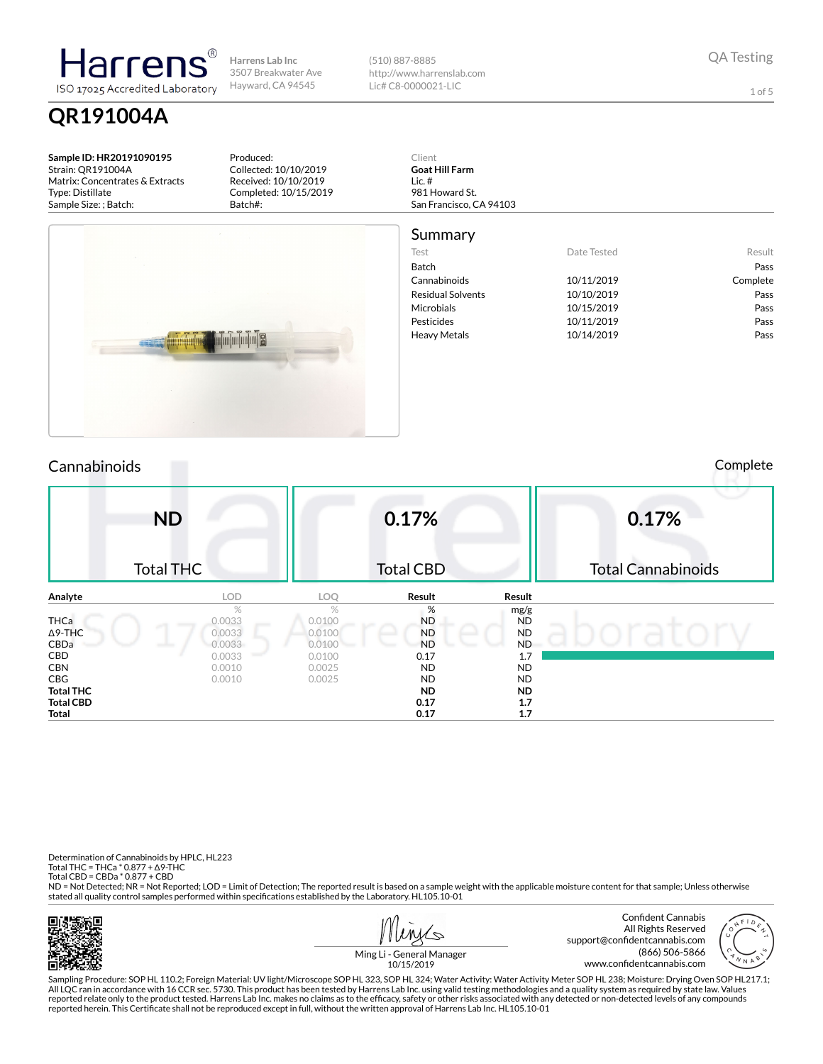(510) 887-8885 http://www.harrenslab.com Lic# C8-0000021-LIC

QA Testing

1 of 5

Sample ID: HR20191090195 Strain: QR191004A Matrix: Concentrates & Extracts Type: Distillate Sample Size: ; Batch:

QR191004A

larren ISO 17025 Accredited Laboratory

> Produced: Collected: 10/10/2019 Received: 10/10/2019 Completed: 10/15/2019 Batch#:

Client Goat Hill Farm Lic. # 981 Howard St. San Francisco, CA 94103



Summary Test **Date Tested** Result Batch **Pass** Cannabinoids 10/11/2019 Complete Residual Solvents 10/10/2019 Pass Microbials **10/15/2019** Pass Pesticides 20/11/2019 Pass Heavy Metals **10/14/2019** Pass

# Cannabinoids Complete

| <b>ND</b>        |            |                | 0.17%            |           | 0.17%                     |
|------------------|------------|----------------|------------------|-----------|---------------------------|
| <b>Total THC</b> |            |                | <b>Total CBD</b> |           | <b>Total Cannabinoids</b> |
| Analyte          | <b>LOD</b> | LOQ            | Result           | Result    |                           |
|                  | %          | %              | %                | mg/g      |                           |
| <b>THCa</b>      | 0.0033     | 0.0100         | <b>ND</b>        | <b>ND</b> |                           |
| $\Delta$ 9-THC   | 0.0033     | 0.0100         | <b>ND</b>        | <b>ND</b> |                           |
| CBDa             | 0.0033     | 0.0100<br>سينا | <b>ND</b>        | <b>ND</b> |                           |
| CBD              | 0.0033     | 0.0100         | 0.17             | 1.7       |                           |
| <b>CBN</b>       | 0.0010     | 0.0025         | <b>ND</b>        | <b>ND</b> |                           |
| CBG              | 0.0010     | 0.0025         | <b>ND</b>        | ND        |                           |
| <b>Total THC</b> |            |                | ND.              | ND.       |                           |
| <b>Total CBD</b> |            |                | 0.17             | 1.7       |                           |
| Total            |            |                | 0.17             | 1.7       |                           |

Determination of Cannabinoids by HPLC, HL223 Total THC = THCa \* 0.877 + ∆9-THC Total CBD = CBDa \* 0.877 + CBD

ND = Not Detected; NR = Not Reported; LOD = Limit of Detection; The reported result is based on a sample weight with the applicable moisture content for that sample; Unless otherwise stated all quality control samples performed within specifications established by the Laboratory. HL105.10-01



 $\overline{\phantom{a}}$ 



Ming Li - General Manager 10/15/2019

Sampling Procedure: SOP HL 110.2; Foreign Material: UV light/Microscope SOP HL 323, SOP HL 324; Water Activity: Water Activity Meter SOP HL 238; Moisture: Drying Oven SOP HL217.1; All LQC ran in accordance with 16 CCR sec. 5730. This product has been tested by Harrens Lab Inc. using valid testing methodologies and a quality system as required by state law. Values reported relate only to the product tested. Harrens Lab Inc. makes no claims as to the efficacy, safety or other risks associated with any detected or non-detected levels of any compounds<br>reported herein. This Certificate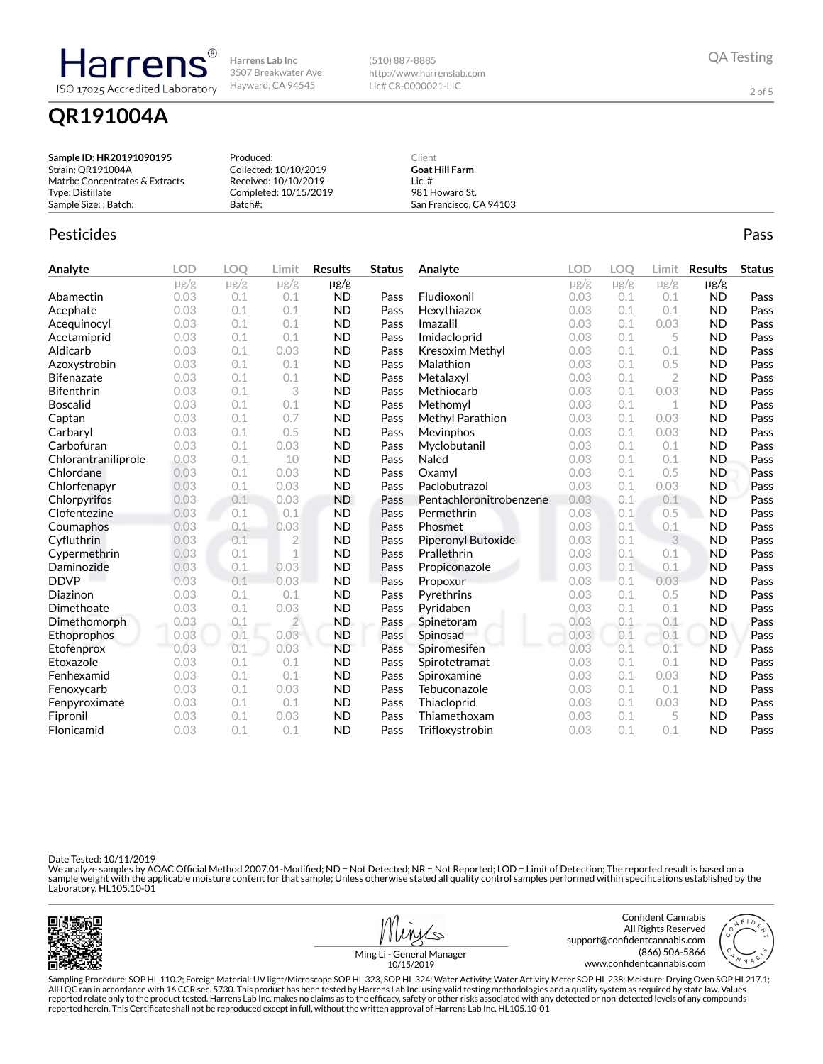(510) 887-8885 http://www.harrenslab.com Lic# C8-0000021-LIC

2 of 5

# QR191004A

Harrens ISO 17025 Accredited Laboratory

| Sample ID: HR20191090195        | Produced:             | Client                  |  |
|---------------------------------|-----------------------|-------------------------|--|
| Strain: QR191004A               | Collected: 10/10/2019 | <b>Goat Hill Farm</b>   |  |
| Matrix: Concentrates & Extracts | Received: 10/10/2019  | Lic. $#$                |  |
| Type: Distillate                | Completed: 10/15/2019 | 981 Howard St.          |  |
| Sample Size: : Batch:           | Batch#:               | San Francisco, CA 94103 |  |

## Pesticides **Passage Community Community Community** Passes and the extension of the extension of the extension of the extension of the extension of the extension of the extension of the extension of the extension of the ext

| Analyte             | <b>LOD</b> | LOQ       | Limit          | <b>Results</b> | <b>Status</b> | Analyte                 | <b>LOD</b> | <b>LOO</b> | Limit        | <b>Results</b> | <b>Status</b> |
|---------------------|------------|-----------|----------------|----------------|---------------|-------------------------|------------|------------|--------------|----------------|---------------|
|                     | $\mu$ g/g  | $\mu$ g/g | $\mu$ g/g      | $\mu$ g/g      |               |                         | $\mu$ g/g  | $\mu$ g/g  | $\mu$ g/g    | $\mu$ g/g      |               |
| Abamectin           | 0.03       | 0.1       | 0.1            | <b>ND</b>      | Pass          | Fludioxonil             | 0.03       | 0.1        | 0.1          | <b>ND</b>      | Pass          |
| Acephate            | 0.03       | 0.1       | 0.1            | <b>ND</b>      | Pass          | Hexythiazox             | 0.03       | 0.1        | 0.1          | <b>ND</b>      | Pass          |
| Acequinocyl         | 0.03       | 0.1       | 0.1            | <b>ND</b>      | Pass          | Imazalil                | 0.03       | 0.1        | 0.03         | <b>ND</b>      | Pass          |
| Acetamiprid         | 0.03       | 0.1       | 0.1            | <b>ND</b>      | Pass          | Imidacloprid            | 0.03       | 0.1        | 5            | <b>ND</b>      | Pass          |
| Aldicarb            | 0.03       | 0.1       | 0.03           | <b>ND</b>      | Pass          | Kresoxim Methyl         | 0.03       | 0.1        | 0.1          | <b>ND</b>      | Pass          |
| Azoxystrobin        | 0.03       | 0.1       | 0.1            | <b>ND</b>      | Pass          | Malathion               | 0.03       | 0.1        | 0.5          | <b>ND</b>      | Pass          |
| <b>Bifenazate</b>   | 0.03       | 0.1       | 0.1            | <b>ND</b>      | Pass          | Metalaxyl               | 0.03       | 0.1        | $\mathbf{2}$ | <b>ND</b>      | Pass          |
| <b>Bifenthrin</b>   | 0.03       | 0.1       | 3              | <b>ND</b>      | Pass          | Methiocarb              | 0.03       | 0.1        | 0.03         | <b>ND</b>      | Pass          |
| <b>Boscalid</b>     | 0.03       | 0.1       | 0.1            | <b>ND</b>      | Pass          | Methomyl                | 0.03       | 0.1        | $\mathbf 1$  | <b>ND</b>      | Pass          |
| Captan              | 0.03       | 0.1       | 0.7            | <b>ND</b>      | Pass          | Methyl Parathion        | 0.03       | 0.1        | 0.03         | <b>ND</b>      | Pass          |
| Carbaryl            | 0.03       | 0.1       | 0.5            | <b>ND</b>      | Pass          | Mevinphos               | 0.03       | 0.1        | 0.03         | <b>ND</b>      | Pass          |
| Carbofuran          | 0.03       | 0.1       | 0.03           | <b>ND</b>      | Pass          | Myclobutanil            | 0.03       | 0.1        | 0.1          | <b>ND</b>      | Pass          |
| Chlorantraniliprole | 0.03       | 0.1       | 10             | <b>ND</b>      | Pass          | Naled                   | 0.03       | 0.1        | 0.1          | <b>ND</b>      | Pass          |
| Chlordane           | 0.03       | 0.1       | 0.03           | <b>ND</b>      | Pass          | Oxamvl                  | 0.03       | 0.1        | 0.5          | <b>ND</b>      | Pass          |
| Chlorfenapyr        | 0.03       | 0.1       | 0.03           | <b>ND</b>      | Pass          | Paclobutrazol           | 0.03       | 0.1        | 0.03         | <b>ND</b>      | Pass          |
| Chlorpyrifos        | 0.03       | 0.1       | 0.03           | <b>ND</b>      | Pass          | Pentachloronitrobenzene | 0.03       | 0.1        | 0.1          | <b>ND</b>      | Pass          |
| Clofentezine        | 0.03       | 0.1       | 0.1            | <b>ND</b>      | Pass          | Permethrin              | 0.03       | 0.1        | 0.5          | <b>ND</b>      | Pass          |
| Coumaphos           | 0.03       | 0.1       | 0.03           | <b>ND</b>      | Pass          | Phosmet                 | 0.03       | 0.1        | 0.1          | <b>ND</b>      | Pass          |
| Cyfluthrin          | 0.03       | 0.1       | $\overline{2}$ | <b>ND</b>      | Pass          | Piperonyl Butoxide      | 0.03       | 0.1        | 3            | <b>ND</b>      | Pass          |
| Cypermethrin        | 0.03       | 0.1       | 1              | <b>ND</b>      | Pass          | Prallethrin             | 0.03       | 0.1        | 0.1          | <b>ND</b>      | Pass          |
| Daminozide          | 0.03       | 0.1       | 0.03           | <b>ND</b>      | Pass          | Propiconazole           | 0.03       | 0.1        | 0.1          | <b>ND</b>      | Pass          |
| <b>DDVP</b>         | 0.03       | 0.1       | 0.03           | <b>ND</b>      | Pass          | Propoxur                | 0.03       | 0.1        | 0.03         | <b>ND</b>      | Pass          |
| Diazinon            | 0.03       | 0.1       | 0.1            | <b>ND</b>      | Pass          | Pyrethrins              | 0.03       | 0.1        | 0.5          | <b>ND</b>      | Pass          |
| Dimethoate          | 0.03       | 0.1       | 0.03           | <b>ND</b>      | Pass          | Pyridaben               | 0.03       | 0.1        | 0.1          | <b>ND</b>      | Pass          |
| Dimethomorph        | 0.03       | 0.1       | $\overline{2}$ | <b>ND</b>      | Pass          | Spinetoram              | 0.03       | 0.1        | 0.1          | <b>ND</b>      | Pass          |
| Ethoprophos         | 0.03       | 0.1       | 0.03           | <b>ND</b>      | Pass          | Spinosad                | 0.03       | 0.1        | 0.1          | <b>ND</b>      | Pass          |
| Etofenprox          | 0.03       | 0.1       | 0.03           | <b>ND</b>      | Pass          | Spiromesifen            | 0.03       | 0.1        | 0.1          | <b>ND</b>      | Pass          |
| Etoxazole           | 0.03       | 0.1       | 0.1            | <b>ND</b>      | Pass          | Spirotetramat           | 0.03       | 0.1        | 0.1          | <b>ND</b>      | Pass          |
| Fenhexamid          | 0.03       | 0.1       | 0.1            | <b>ND</b>      | Pass          | Spiroxamine             | 0.03       | 0.1        | 0.03         | <b>ND</b>      | Pass          |
| Fenoxycarb          | 0.03       | 0.1       | 0.03           | <b>ND</b>      | Pass          | Tebuconazole            | 0.03       | 0.1        | 0.1          | <b>ND</b>      | Pass          |
| Fenpyroximate       | 0.03       | 0.1       | 0.1            | <b>ND</b>      | Pass          | Thiacloprid             | 0.03       | 0.1        | 0.03         | <b>ND</b>      | Pass          |
| Fipronil            | 0.03       | 0.1       | 0.03           | <b>ND</b>      | Pass          | Thiamethoxam            | 0.03       | 0.1        | 5            | <b>ND</b>      | Pass          |
| Flonicamid          | 0.03       | 0.1       | 0.1            | <b>ND</b>      | Pass          | Trifloxystrobin         | 0.03       | 0.1        | 0.1          | <b>ND</b>      | Pass          |

Date Tested: 10/11/2019

We analyze samples by AOAC Official Method 2007.01-Modified; ND = Not Detected; NR = Not Reported; LOD = Limit of Detection; The reported result is based on a<br>sample weight with the applicable moisture content for that sam







Ming Li - General Manager 10/15/2019

Sampling Procedure: SOP HL 110.2; Foreign Material: UV light/Microscope SOP HL 323, SOP HL 324; Water Activity: Water Activity Meter SOP HL 238; Moisture: Drying Oven SOP HL217.1; All LQC ran in accordance with 16 CCR sec. 5730. This product has been tested by Harrens Lab Inc. using valid testing methodologies and a quality system as required by state law. Values<br>reported relate only to the product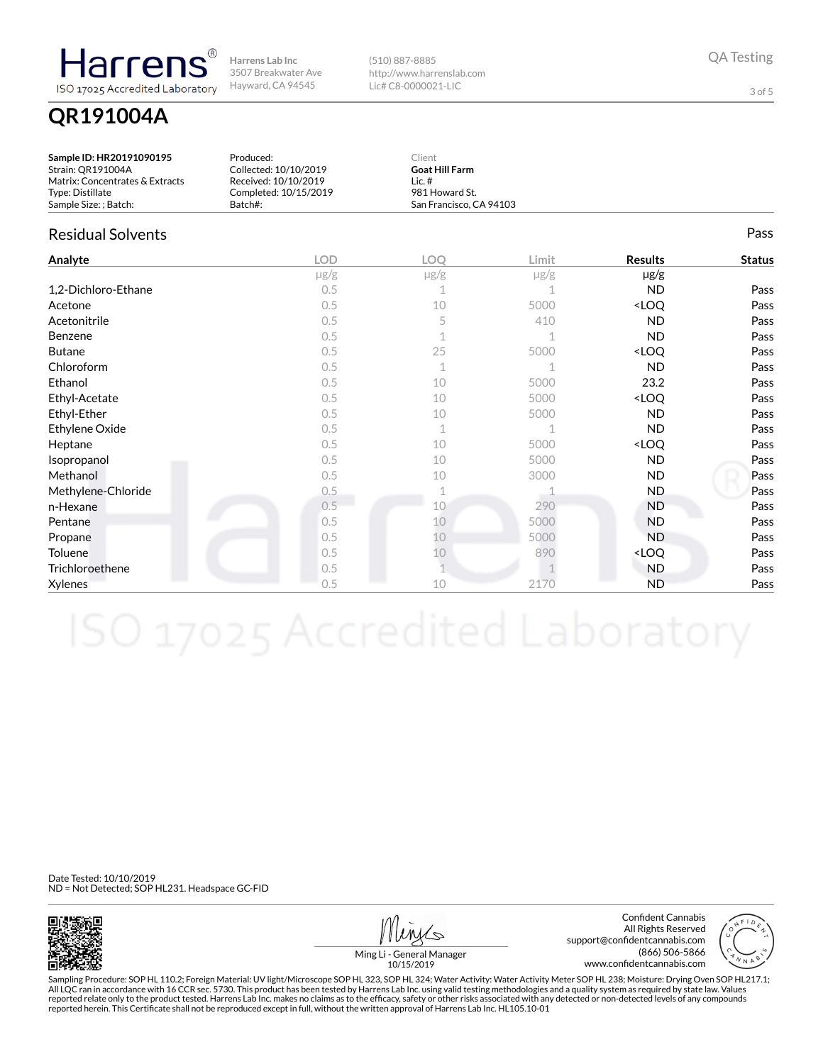QR191004A

Harrens

ISO 17025 Accredited Laboratory

(510) 887-8885 http://www.harrenslab.com Lic# C8-0000021-LIC

QA Testing

3 of 5

### Sample ID: HR20191090195 Strain: QR191004A Matrix: Concentrates & Extracts Type: Distillate Sample Size: ; Batch: Produced: Collected: 10/10/2019 Received: 10/10/2019 Completed: 10/15/2019 Batch#: Client Goat Hill Farm Lic. # 981 Howard St. San Francisco, CA 94103 Residual Solvents Pass Analyte LOD LOQ Limit Results Status µg/g µg/g µg/g µg/g **1,2-Dichloro-Ethane**  $0.5$   $1$   $1$   $1$   $N$   $N$  Pass Acetone  $0.5$   $10$   $5000$   $\leq$   $L$   $Q$  Pass Acetonitrile 0.5 5 410 ND Pass Benzene  $0.5$  1  $1$  ND Pass Butane  $0.5$   $25$   $5000$   $\sim$   $200$   $\sim$  Pass Chloroform  $0.5$  1  $1$  ND Pass Ethanol 0.5 10 5000 23.2 Pass Ethyl-Acetate 0.5 10 5000 <LOQ Pass Ethyl-Ether 0.5 10 5000 ND Pass Ethylene Oxide  $0.5$   $1$   $1$   $1$   $N$   $N$  Pass Heptane  $0.5$   $10$   $5000$   $\sim$   $10$   $\sim$   $10$ Isopropanol 0.5 10 5000 ND Pass Methanol 0.5 10 3000 ND Pass Methylene-Chloride **2.5** 2.5 1 1 1 ND Pass **n-Hexane 2018** 290 **ND Pass Pentane 10 10 5000 ND Pass** Propane 0.5 10 5000 ND Pass Toluene  $0.5$   $10$   $890$   $\leq$  LOQ Pass Trichloroethene 2005 0.5 1 1 ND Pass  $\textsf{Xy}$ lenes ND Pass and  $0.5$  10  $2170$  ND Pass

Date Tested: 10/10/2019 ND = Not Detected; SOP HL231. Headspace GC-FID



Confident Cannabis All Rights Reserved support@confidentcannabis.com (866) 506-5866 www.confidentcannabis.com



Ming Li - General Manager 10/15/2019

Sampling Procedure: SOP HL 110.2; Foreign Material: UV light/Microscope SOP HL 323, SOP HL 324; Water Activity: Water Activity Meter SOP HL 238; Moisture: Drying Oven SOP HL217.1; All LQC ran in accordance with 16 CCR sec. 5730. This product has been tested by Harrens Lab Inc. using valid testing methodologies and a quality system as required by state law. Values reported relate only to the product tested. Harrens Lab Inc. makes no claims as to the efficacy, safety or other risks associated with any detected or non-detected levels of any compounds<br>reported herein. This Certificate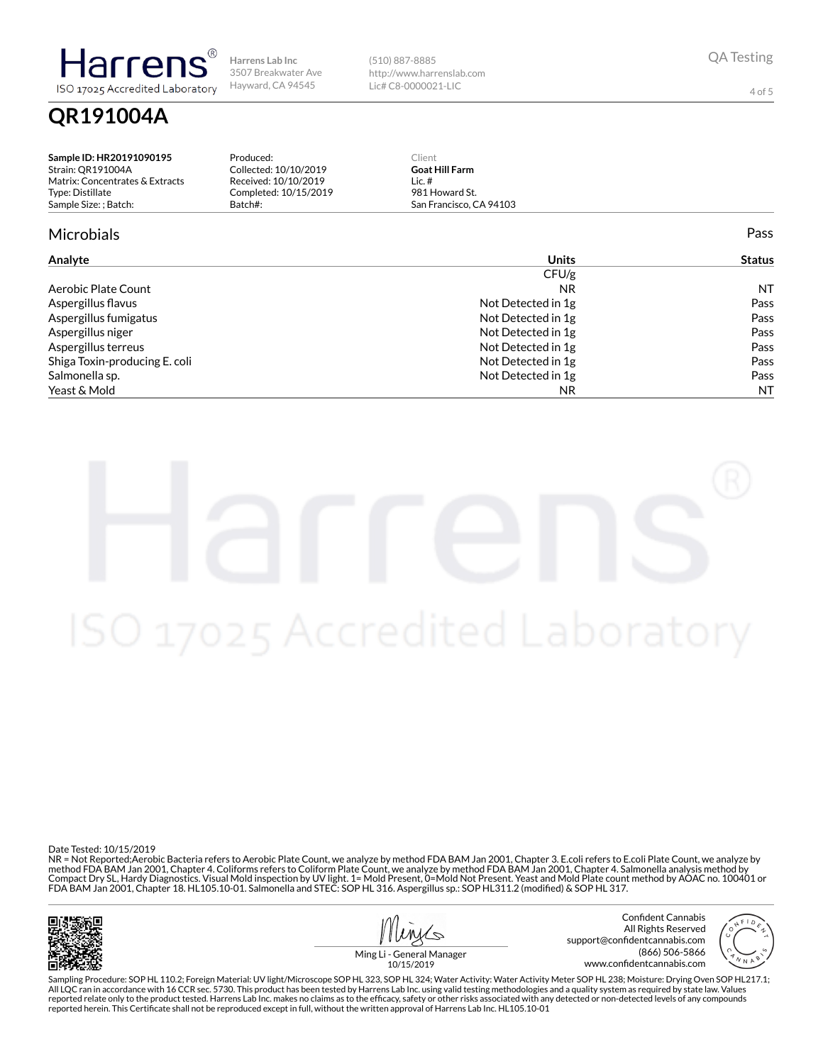(510) 887-8885 http://www.harrenslab.com Lic# C8-0000021-LIC

QA Testing

4 of 5

Sample ID: HR20191090195 Strain: QR191004A Matrix: Concentrates & Extracts Type: Distillate Sample Size: ; Batch: Produced: Collected: 10/10/2019 Received: 10/10/2019 Completed: 10/15/2019 Batch#: Client Goat Hill Farm Lic. # 981 Howard St. San Francisco, CA 94103 Microbials Pass

| Analyte                       | <b>Units</b>       | <b>Status</b> |
|-------------------------------|--------------------|---------------|
|                               | CFU/g              |               |
| Aerobic Plate Count           | <b>NR</b>          | <b>NT</b>     |
| Aspergillus flavus            | Not Detected in 1g | Pass          |
| Aspergillus fumigatus         | Not Detected in 1g | Pass          |
| Aspergillus niger             | Not Detected in 1g | Pass          |
| Aspergillus terreus           | Not Detected in 1g | Pass          |
| Shiga Toxin-producing E. coli | Not Detected in 1g | Pass          |
| Salmonella sp.                | Not Detected in 1g | Pass          |
| Yeast & Mold                  | NR.                | <b>NT</b>     |

QR191004A

Harren

ISO 17025 Accredited Laboratory

Date Tested: 10/15/2019<br>NR = Not Reported;Aerobic Bacteria refers to Aerobic Plate Count, we analyze by method FDA BAM Jan 2001, Chapter 3. E.coli refers to E.coli Plate Count, we analyze by method FDA BAM Jan 2001, Chapter 4. Coliforms refers to Coliform Plate Count, we analyze by method FDA BAM Jan 2001, Chapter 4. Salmonella analysis method by Compact Dry SL, Hardy Diagnostics. Visual Mold inspection by UV light. 1= Mold Present, 0=Mold Not Present. Yeast and Mold Plate count method by AOAC no. 100401 or<br>FDA BAM Jan 2001, Chapter 18. HL105.10-01. Salmonella and



Confident Cannabis All Rights Reserved support@confidentcannabis.com (866) 506-5866 www.confidentcannabis.com



Ming Li - General Manager 10/15/2019

Sampling Procedure: SOP HL 110.2; Foreign Material: UV light/Microscope SOP HL 323, SOP HL 324; Water Activity: Water Activity Meter SOP HL 238; Moisture: Drying Oven SOP HL217.1; All LQC ran in accordance with 16 CCR sec. 5730. This product has been tested by Harrens Lab Inc. using valid testing methodologies and a quality system as required by state law. Values reported relate only to the product tested. Harrens Lab Inc. makes no claims as to the efficacy, safety or other risks associated with any detected or non-detected levels of any compounds<br>reported herein. This Certificate